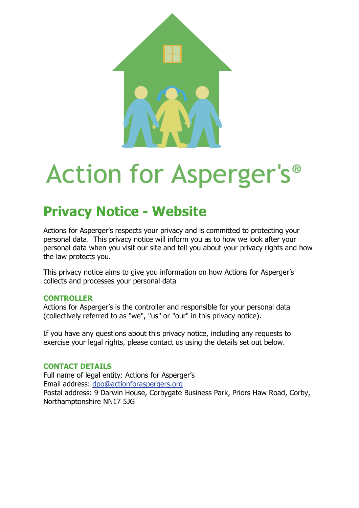

# **Action for Asperger's**<sup>®</sup>

# **Privacy Notice - Website**

Actions for Asperger's respects your privacy and is committed to protecting your personal data. This privacy notice will inform you as to how we look after your personal data when you visit our site and tell you about your privacy rights and how the law protects you.

This privacy notice aims to give you information on how Actions for Asperger's collects and processes your personal data

# **CONTROLLER**

Actions for Asperger's is the controller and responsible for your personal data (collectively referred to as "we", "us" or "our" in this privacy notice).

If you have any questions about this privacy notice, including any requests to exercise your legal rights, please contact us using the details set out below.

# **CONTACT DETAILS**

Full name of legal entity: Actions for Asperger's Email address: dpo@actionforaspergers.org Postal address: 9 Darwin House, Corbygate Business Park, Priors Haw Road, Corby, Northamptonshire NN17 5JG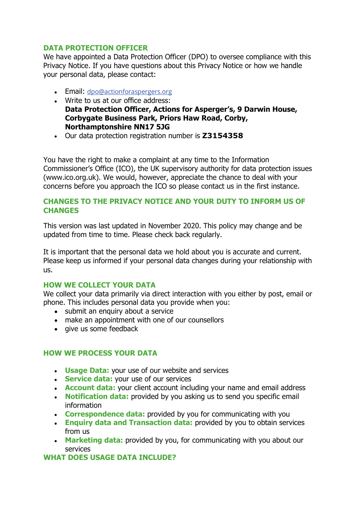# **DATA PROTECTION OFFICER**

We have appointed a Data Protection Officer (DPO) to oversee compliance with this Privacy Notice. If you have questions about this Privacy Notice or how we handle your personal data, please contact:

- Email: dpo@actionforaspergers.org
- Write to us at our office address: **Data Protection Officer, Actions for Asperger's, 9 Darwin House, Corbygate Business Park, Priors Haw Road, Corby, Northamptonshire NN17 5JG**
- Our data protection registration number is **Z3154358**

You have the right to make a complaint at any time to the Information Commissioner's Office (ICO), the UK supervisory authority for data protection issues (www.ico.org.uk). We would, however, appreciate the chance to deal with your concerns before you approach the ICO so please contact us in the first instance.

#### **CHANGES TO THE PRIVACY NOTICE AND YOUR DUTY TO INFORM US OF CHANGES**

This version was last updated in November 2020. This policy may change and be updated from time to time. Please check back regularly.

It is important that the personal data we hold about you is accurate and current. Please keep us informed if your personal data changes during your relationship with us.

# **HOW WE COLLECT YOUR DATA**

We collect your data primarily via direct interaction with you either by post, email or phone. This includes personal data you provide when you:

- submit an enquiry about a service
- make an appointment with one of our counsellors
- give us some feedback

# **HOW WE PROCESS YOUR DATA**

- **Usage Data:** your use of our website and services
- **Service data:** your use of our services
- **Account data:** your client account including your name and email address
- **Notification data:** provided by you asking us to send you specific email information
- **Correspondence data:** provided by you for communicating with you
- **Enquiry data and Transaction data:** provided by you to obtain services from us
- **Marketing data:** provided by you, for communicating with you about our services

**WHAT DOES USAGE DATA INCLUDE?**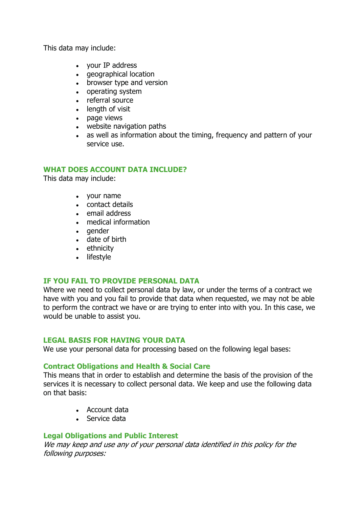This data may include:

- your IP address
- geographical location
- browser type and version
- operating system
- referral source
- length of visit
- page views
- website navigation paths
- as well as information about the timing, frequency and pattern of your service use.

#### **WHAT DOES ACCOUNT DATA INCLUDE?**

This data may include:

- your name
- contact details
- email address
- medical information
- gender
- date of birth
- ethnicity
- lifestyle

# **IF YOU FAIL TO PROVIDE PERSONAL DATA**

Where we need to collect personal data by law, or under the terms of a contract we have with you and you fail to provide that data when requested, we may not be able to perform the contract we have or are trying to enter into with you. In this case, we would be unable to assist you.

#### **LEGAL BASIS FOR HAVING YOUR DATA**

We use your personal data for processing based on the following legal bases:

# **Contract Obligations and Health & Social Care**

This means that in order to establish and determine the basis of the provision of the services it is necessary to collect personal data. We keep and use the following data on that basis:

- Account data
- Service data

# **Legal Obligations and Public Interest**

We may keep and use any of your personal data identified in this policy for the following purposes: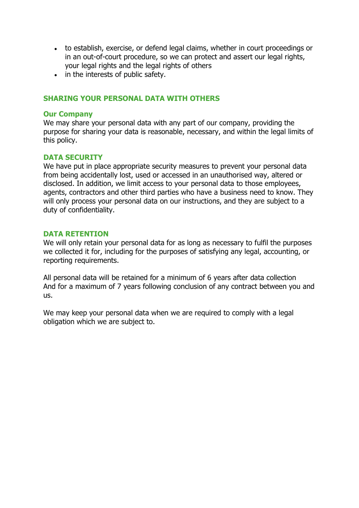- to establish, exercise, or defend legal claims, whether in court proceedings or in an out-of-court procedure, so we can protect and assert our legal rights, your legal rights and the legal rights of others
- in the interests of public safety.

#### **SHARING YOUR PERSONAL DATA WITH OTHERS**

#### **Our Company**

We may share your personal data with any part of our company, providing the purpose for sharing your data is reasonable, necessary, and within the legal limits of this policy.

#### **DATA SECURITY**

We have put in place appropriate security measures to prevent your personal data from being accidentally lost, used or accessed in an unauthorised way, altered or disclosed. In addition, we limit access to your personal data to those employees, agents, contractors and other third parties who have a business need to know. They will only process your personal data on our instructions, and they are subject to a duty of confidentiality.

#### **DATA RETENTION**

We will only retain your personal data for as long as necessary to fulfil the purposes we collected it for, including for the purposes of satisfying any legal, accounting, or reporting requirements.

All personal data will be retained for a minimum of 6 years after data collection And for a maximum of 7 years following conclusion of any contract between you and us.

We may keep your personal data when we are required to comply with a legal obligation which we are subject to.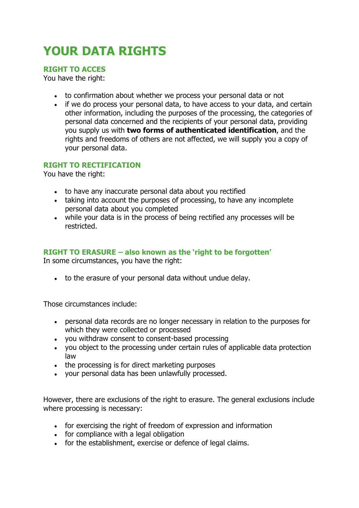# **YOUR DATA RIGHTS**

**RIGHT TO ACCES** 

You have the right:

- to confirmation about whether we process your personal data or not
- if we do process your personal data, to have access to your data, and certain other information, including the purposes of the processing, the categories of personal data concerned and the recipients of your personal data, providing you supply us with **two forms of authenticated identification**, and the rights and freedoms of others are not affected, we will supply you a copy of your personal data.

# **RIGHT TO RECTIFICATION**

You have the right:

- to have any inaccurate personal data about you rectified
- taking into account the purposes of processing, to have any incomplete personal data about you completed
- while your data is in the process of being rectified any processes will be restricted.

# **RIGHT TO ERASURE – also known as the 'right to be forgotten'**

In some circumstances, you have the right:

to the erasure of your personal data without undue delay.

Those circumstances include:

- personal data records are no longer necessary in relation to the purposes for which they were collected or processed
- you withdraw consent to consent-based processing
- you object to the processing under certain rules of applicable data protection law
- the processing is for direct marketing purposes
- vour personal data has been unlawfully processed.

However, there are exclusions of the right to erasure. The general exclusions include where processing is necessary:

- for exercising the right of freedom of expression and information
- for compliance with a legal obligation
- for the establishment, exercise or defence of legal claims.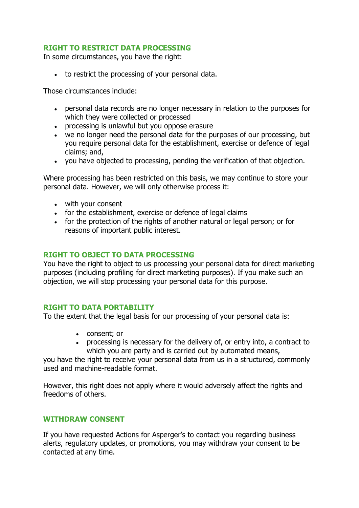# **RIGHT TO RESTRICT DATA PROCESSING**

In some circumstances, you have the right:

to restrict the processing of your personal data.

Those circumstances include:

- personal data records are no longer necessary in relation to the purposes for which they were collected or processed
- processing is unlawful but you oppose erasure
- we no longer need the personal data for the purposes of our processing, but you require personal data for the establishment, exercise or defence of legal claims; and,
- you have objected to processing, pending the verification of that objection.

Where processing has been restricted on this basis, we may continue to store your personal data. However, we will only otherwise process it:

- with your consent
- for the establishment, exercise or defence of legal claims
- for the protection of the rights of another natural or legal person; or for reasons of important public interest.

#### **RIGHT TO OBJECT TO DATA PROCESSING**

You have the right to object to us processing your personal data for direct marketing purposes (including profiling for direct marketing purposes). If you make such an objection, we will stop processing your personal data for this purpose.

# **RIGHT TO DATA PORTABILITY**

To the extent that the legal basis for our processing of your personal data is:

- consent; or
- processing is necessary for the delivery of, or entry into, a contract to which you are party and is carried out by automated means,

you have the right to receive your personal data from us in a structured, commonly used and machine-readable format.

However, this right does not apply where it would adversely affect the rights and freedoms of others.

#### **WITHDRAW CONSENT**

If you have requested Actions for Asperger's to contact you regarding business alerts, regulatory updates, or promotions, you may withdraw your consent to be contacted at any time.